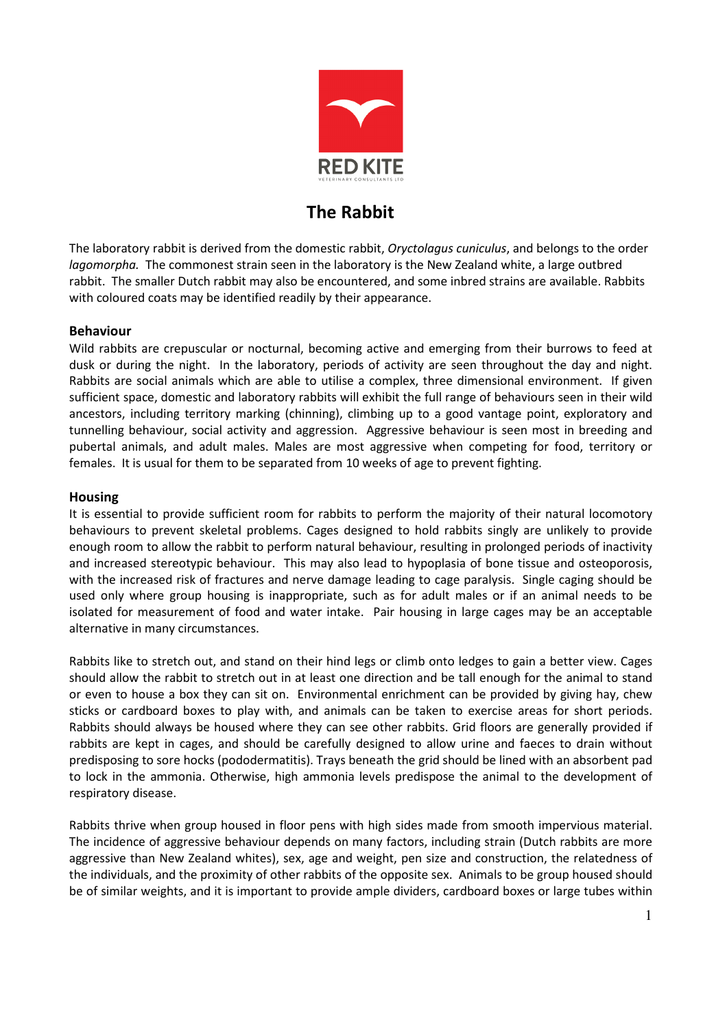

# The Rabbit

The laboratory rabbit is derived from the domestic rabbit, Oryctolagus cuniculus, and belongs to the order lagomorpha. The commonest strain seen in the laboratory is the New Zealand white, a large outbred rabbit. The smaller Dutch rabbit may also be encountered, and some inbred strains are available. Rabbits with coloured coats may be identified readily by their appearance.

# Behaviour

Wild rabbits are crepuscular or nocturnal, becoming active and emerging from their burrows to feed at dusk or during the night. In the laboratory, periods of activity are seen throughout the day and night. Rabbits are social animals which are able to utilise a complex, three dimensional environment. If given sufficient space, domestic and laboratory rabbits will exhibit the full range of behaviours seen in their wild ancestors, including territory marking (chinning), climbing up to a good vantage point, exploratory and tunnelling behaviour, social activity and aggression. Aggressive behaviour is seen most in breeding and pubertal animals, and adult males. Males are most aggressive when competing for food, territory or females. It is usual for them to be separated from 10 weeks of age to prevent fighting.

#### Housing

It is essential to provide sufficient room for rabbits to perform the majority of their natural locomotory behaviours to prevent skeletal problems. Cages designed to hold rabbits singly are unlikely to provide enough room to allow the rabbit to perform natural behaviour, resulting in prolonged periods of inactivity and increased stereotypic behaviour. This may also lead to hypoplasia of bone tissue and osteoporosis, with the increased risk of fractures and nerve damage leading to cage paralysis. Single caging should be used only where group housing is inappropriate, such as for adult males or if an animal needs to be isolated for measurement of food and water intake. Pair housing in large cages may be an acceptable alternative in many circumstances.

Rabbits like to stretch out, and stand on their hind legs or climb onto ledges to gain a better view. Cages should allow the rabbit to stretch out in at least one direction and be tall enough for the animal to stand or even to house a box they can sit on. Environmental enrichment can be provided by giving hay, chew sticks or cardboard boxes to play with, and animals can be taken to exercise areas for short periods. Rabbits should always be housed where they can see other rabbits. Grid floors are generally provided if rabbits are kept in cages, and should be carefully designed to allow urine and faeces to drain without predisposing to sore hocks (pododermatitis). Trays beneath the grid should be lined with an absorbent pad to lock in the ammonia. Otherwise, high ammonia levels predispose the animal to the development of respiratory disease.

Rabbits thrive when group housed in floor pens with high sides made from smooth impervious material. The incidence of aggressive behaviour depends on many factors, including strain (Dutch rabbits are more aggressive than New Zealand whites), sex, age and weight, pen size and construction, the relatedness of the individuals, and the proximity of other rabbits of the opposite sex. Animals to be group housed should be of similar weights, and it is important to provide ample dividers, cardboard boxes or large tubes within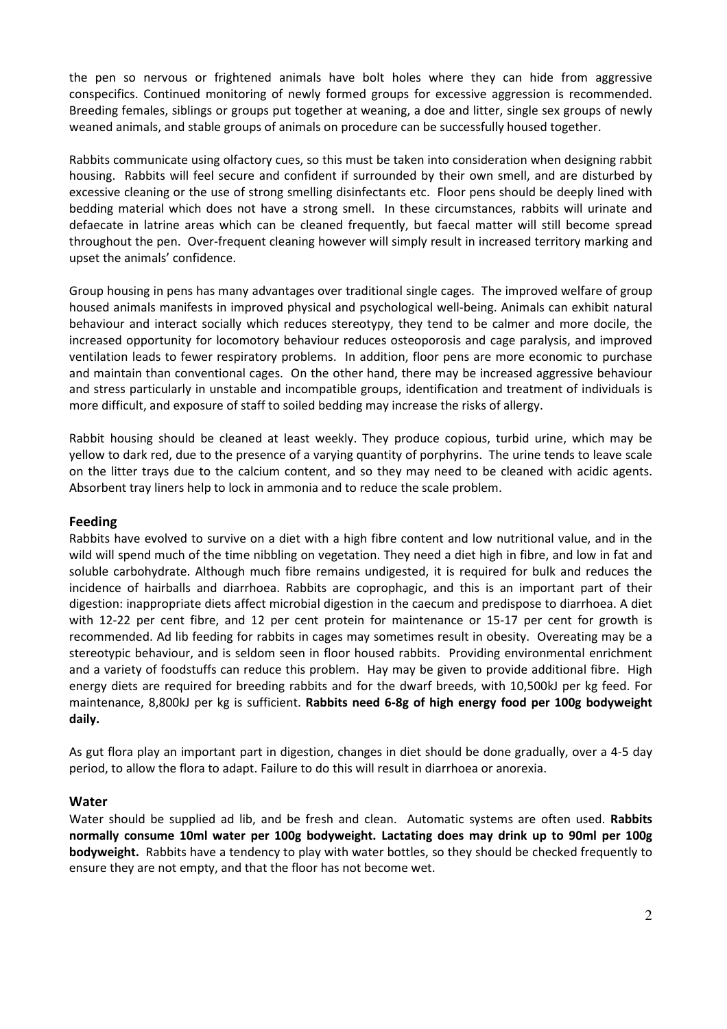the pen so nervous or frightened animals have bolt holes where they can hide from aggressive conspecifics. Continued monitoring of newly formed groups for excessive aggression is recommended. Breeding females, siblings or groups put together at weaning, a doe and litter, single sex groups of newly weaned animals, and stable groups of animals on procedure can be successfully housed together.

Rabbits communicate using olfactory cues, so this must be taken into consideration when designing rabbit housing. Rabbits will feel secure and confident if surrounded by their own smell, and are disturbed by excessive cleaning or the use of strong smelling disinfectants etc. Floor pens should be deeply lined with bedding material which does not have a strong smell. In these circumstances, rabbits will urinate and defaecate in latrine areas which can be cleaned frequently, but faecal matter will still become spread throughout the pen. Over-frequent cleaning however will simply result in increased territory marking and upset the animals' confidence.

Group housing in pens has many advantages over traditional single cages. The improved welfare of group housed animals manifests in improved physical and psychological well-being. Animals can exhibit natural behaviour and interact socially which reduces stereotypy, they tend to be calmer and more docile, the increased opportunity for locomotory behaviour reduces osteoporosis and cage paralysis, and improved ventilation leads to fewer respiratory problems. In addition, floor pens are more economic to purchase and maintain than conventional cages. On the other hand, there may be increased aggressive behaviour and stress particularly in unstable and incompatible groups, identification and treatment of individuals is more difficult, and exposure of staff to soiled bedding may increase the risks of allergy.

Rabbit housing should be cleaned at least weekly. They produce copious, turbid urine, which may be yellow to dark red, due to the presence of a varying quantity of porphyrins. The urine tends to leave scale on the litter trays due to the calcium content, and so they may need to be cleaned with acidic agents. Absorbent tray liners help to lock in ammonia and to reduce the scale problem.

### Feeding

Rabbits have evolved to survive on a diet with a high fibre content and low nutritional value, and in the wild will spend much of the time nibbling on vegetation. They need a diet high in fibre, and low in fat and soluble carbohydrate. Although much fibre remains undigested, it is required for bulk and reduces the incidence of hairballs and diarrhoea. Rabbits are coprophagic, and this is an important part of their digestion: inappropriate diets affect microbial digestion in the caecum and predispose to diarrhoea. A diet with 12-22 per cent fibre, and 12 per cent protein for maintenance or 15-17 per cent for growth is recommended. Ad lib feeding for rabbits in cages may sometimes result in obesity. Overeating may be a stereotypic behaviour, and is seldom seen in floor housed rabbits. Providing environmental enrichment and a variety of foodstuffs can reduce this problem. Hay may be given to provide additional fibre. High energy diets are required for breeding rabbits and for the dwarf breeds, with 10,500kJ per kg feed. For maintenance, 8,800kJ per kg is sufficient. Rabbits need 6-8g of high energy food per 100g bodyweight daily.

As gut flora play an important part in digestion, changes in diet should be done gradually, over a 4-5 day period, to allow the flora to adapt. Failure to do this will result in diarrhoea or anorexia.

#### Water

Water should be supplied ad lib, and be fresh and clean. Automatic systems are often used. Rabbits normally consume 10ml water per 100g bodyweight. Lactating does may drink up to 90ml per 100g bodyweight. Rabbits have a tendency to play with water bottles, so they should be checked frequently to ensure they are not empty, and that the floor has not become wet.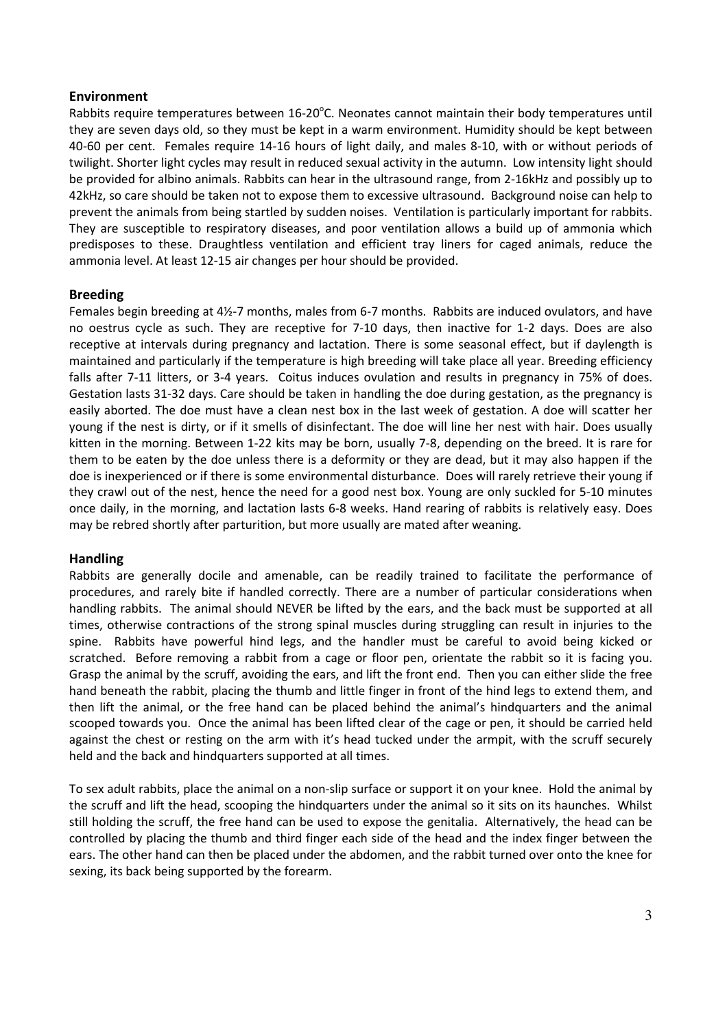# Environment

Rabbits require temperatures between 16-20°C. Neonates cannot maintain their body temperatures until they are seven days old, so they must be kept in a warm environment. Humidity should be kept between 40-60 per cent. Females require 14-16 hours of light daily, and males 8-10, with or without periods of twilight. Shorter light cycles may result in reduced sexual activity in the autumn. Low intensity light should be provided for albino animals. Rabbits can hear in the ultrasound range, from 2-16kHz and possibly up to 42kHz, so care should be taken not to expose them to excessive ultrasound. Background noise can help to prevent the animals from being startled by sudden noises. Ventilation is particularly important for rabbits. They are susceptible to respiratory diseases, and poor ventilation allows a build up of ammonia which predisposes to these. Draughtless ventilation and efficient tray liners for caged animals, reduce the ammonia level. At least 12-15 air changes per hour should be provided.

# Breeding

Females begin breeding at 4½-7 months, males from 6-7 months. Rabbits are induced ovulators, and have no oestrus cycle as such. They are receptive for 7-10 days, then inactive for 1-2 days. Does are also receptive at intervals during pregnancy and lactation. There is some seasonal effect, but if daylength is maintained and particularly if the temperature is high breeding will take place all year. Breeding efficiency falls after 7-11 litters, or 3-4 years. Coitus induces ovulation and results in pregnancy in 75% of does. Gestation lasts 31-32 days. Care should be taken in handling the doe during gestation, as the pregnancy is easily aborted. The doe must have a clean nest box in the last week of gestation. A doe will scatter her young if the nest is dirty, or if it smells of disinfectant. The doe will line her nest with hair. Does usually kitten in the morning. Between 1-22 kits may be born, usually 7-8, depending on the breed. It is rare for them to be eaten by the doe unless there is a deformity or they are dead, but it may also happen if the doe is inexperienced or if there is some environmental disturbance. Does will rarely retrieve their young if they crawl out of the nest, hence the need for a good nest box. Young are only suckled for 5-10 minutes once daily, in the morning, and lactation lasts 6-8 weeks. Hand rearing of rabbits is relatively easy. Does may be rebred shortly after parturition, but more usually are mated after weaning.

#### Handling

Rabbits are generally docile and amenable, can be readily trained to facilitate the performance of procedures, and rarely bite if handled correctly. There are a number of particular considerations when handling rabbits. The animal should NEVER be lifted by the ears, and the back must be supported at all times, otherwise contractions of the strong spinal muscles during struggling can result in injuries to the spine. Rabbits have powerful hind legs, and the handler must be careful to avoid being kicked or scratched. Before removing a rabbit from a cage or floor pen, orientate the rabbit so it is facing you. Grasp the animal by the scruff, avoiding the ears, and lift the front end. Then you can either slide the free hand beneath the rabbit, placing the thumb and little finger in front of the hind legs to extend them, and then lift the animal, or the free hand can be placed behind the animal's hindquarters and the animal scooped towards you. Once the animal has been lifted clear of the cage or pen, it should be carried held against the chest or resting on the arm with it's head tucked under the armpit, with the scruff securely held and the back and hindquarters supported at all times.

To sex adult rabbits, place the animal on a non-slip surface or support it on your knee. Hold the animal by the scruff and lift the head, scooping the hindquarters under the animal so it sits on its haunches. Whilst still holding the scruff, the free hand can be used to expose the genitalia. Alternatively, the head can be controlled by placing the thumb and third finger each side of the head and the index finger between the ears. The other hand can then be placed under the abdomen, and the rabbit turned over onto the knee for sexing, its back being supported by the forearm.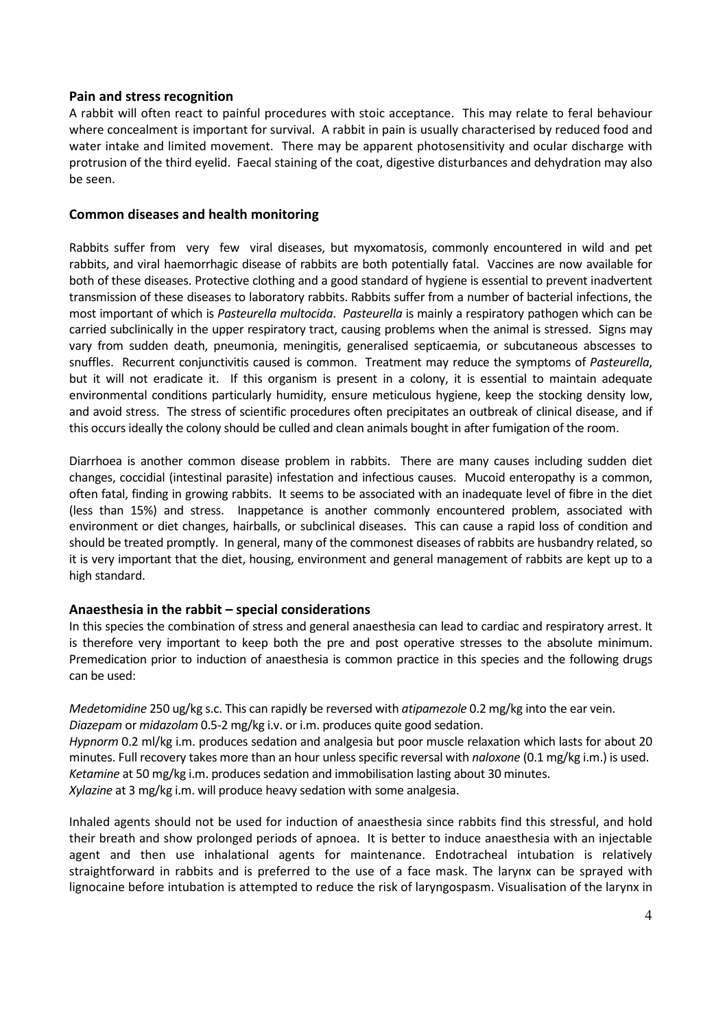# Pain and stress recognition

A rabbit will often react to painful procedures with stoic acceptance. This may relate to feral behaviour where concealment is important for survival. A rabbit in pain is usually characterised by reduced food and water intake and limited movement. There may be apparent photosensitivity and ocular discharge with protrusion of the third eyelid. Faecal staining of the coat, digestive disturbances and dehydration may also be seen.

# Common diseases and health monitoring

Rabbits suffer from very few viral diseases, but myxomatosis, commonly encountered in wild and pet rabbits, and viral haemorrhagic disease of rabbits are both potentially fatal. Vaccines are now available for both of these diseases. Protective clothing and a good standard of hygiene is essential to prevent inadvertent transmission of these diseases to laboratory rabbits. Rabbits suffer from a number of bacterial infections, the most important of which is Pasteurella multocida. Pasteurella is mainly a respiratory pathogen which can be carried subclinically in the upper respiratory tract, causing problems when the animal is stressed. Signs may vary from sudden death, pneumonia, meningitis, generalised septicaemia, or subcutaneous abscesses to snuffles. Recurrent conjunctivitis caused is common. Treatment may reduce the symptoms of Pasteurella, but it will not eradicate it. If this organism is present in a colony, it is essential to maintain adequate environmental conditions particularly humidity, ensure meticulous hygiene, keep the stocking density low, and avoid stress. The stress of scientific procedures often precipitates an outbreak of clinical disease, and if this occurs ideally the colony should be culled and clean animals bought in after fumigation of the room.

Diarrhoea is another common disease problem in rabbits. There are many causes including sudden diet changes, coccidial (intestinal parasite) infestation and infectious causes. Mucoid enteropathy is a common, often fatal, finding in growing rabbits. It seems to be associated with an inadequate level of fibre in the diet (less than 15%) and stress. Inappetance is another commonly encountered problem, associated with environment or diet changes, hairballs, or subclinical diseases. This can cause a rapid loss of condition and should be treated promptly. In general, many of the commonest diseases of rabbits are husbandry related, so it is very important that the diet, housing, environment and general management of rabbits are kept up to a high standard.

# Anaesthesia in the rabbit – special considerations

In this species the combination of stress and general anaesthesia can lead to cardiac and respiratory arrest. It is therefore very important to keep both the pre and post operative stresses to the absolute minimum. Premedication prior to induction of anaesthesia is common practice in this species and the following drugs can be used:

Medetomidine 250 ug/kg s.c. This can rapidly be reversed with atipamezole 0.2 mg/kg into the ear vein. Diazepam or midazolam 0.5-2 mg/kg i.v. or i.m. produces quite good sedation. Hypnorm 0.2 ml/kg i.m. produces sedation and analgesia but poor muscle relaxation which lasts for about 20

minutes. Full recovery takes more than an hour unless specific reversal with naloxone (0.1 mg/kg i.m.) is used. Ketamine at 50 mg/kg i.m. produces sedation and immobilisation lasting about 30 minutes. Xylazine at 3 mg/kg i.m. will produce heavy sedation with some analgesia.

Inhaled agents should not be used for induction of anaesthesia since rabbits find this stressful, and hold their breath and show prolonged periods of apnoea. It is better to induce anaesthesia with an injectable agent and then use inhalational agents for maintenance. Endotracheal intubation is relatively straightforward in rabbits and is preferred to the use of a face mask. The larynx can be sprayed with lignocaine before intubation is attempted to reduce the risk of laryngospasm. Visualisation of the larynx in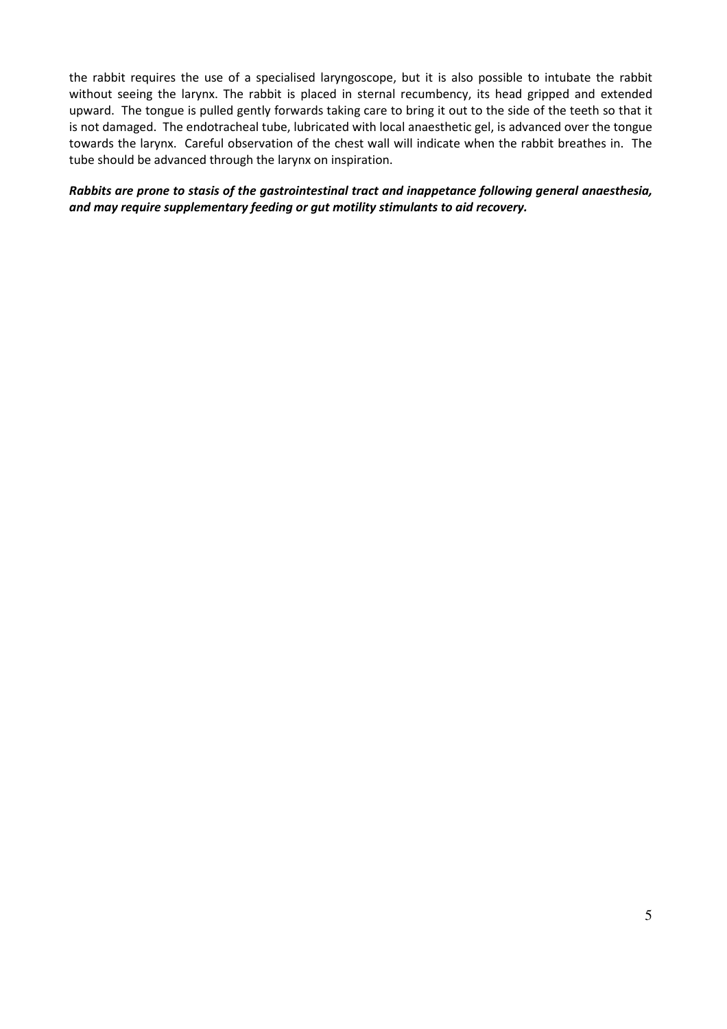the rabbit requires the use of a specialised laryngoscope, but it is also possible to intubate the rabbit without seeing the larynx. The rabbit is placed in sternal recumbency, its head gripped and extended upward. The tongue is pulled gently forwards taking care to bring it out to the side of the teeth so that it is not damaged. The endotracheal tube, lubricated with local anaesthetic gel, is advanced over the tongue towards the larynx. Careful observation of the chest wall will indicate when the rabbit breathes in. The tube should be advanced through the larynx on inspiration.

Rabbits are prone to stasis of the gastrointestinal tract and inappetance following general anaesthesia, and may require supplementary feeding or gut motility stimulants to aid recovery.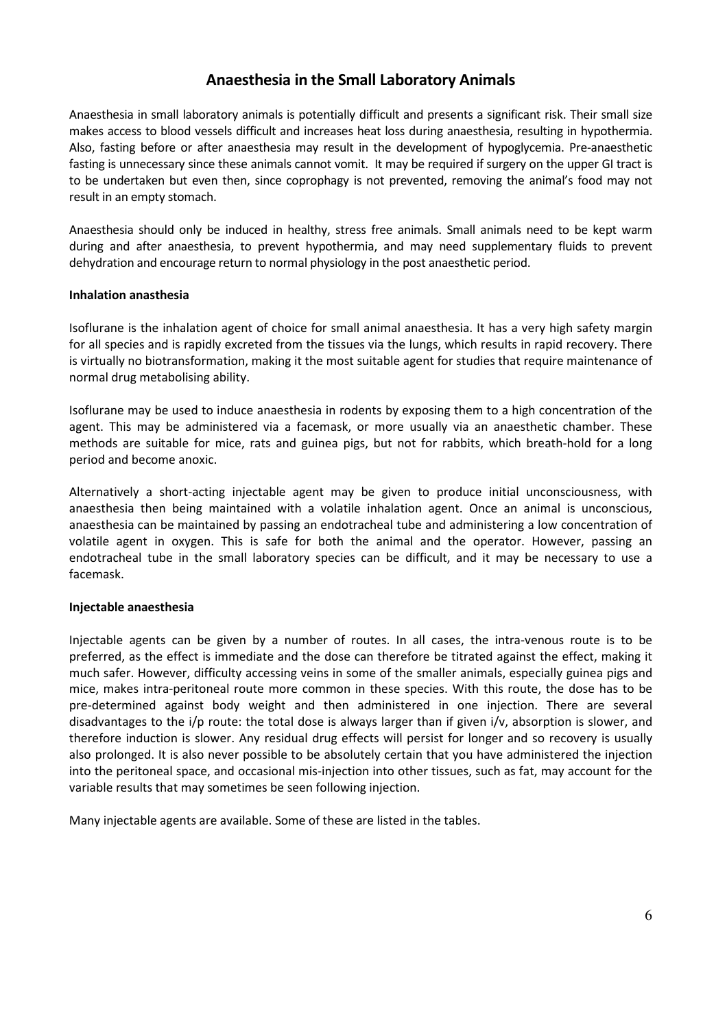# Anaesthesia in the Small Laboratory Animals

Anaesthesia in small laboratory animals is potentially difficult and presents a significant risk. Their small size makes access to blood vessels difficult and increases heat loss during anaesthesia, resulting in hypothermia. Also, fasting before or after anaesthesia may result in the development of hypoglycemia. Pre-anaesthetic fasting is unnecessary since these animals cannot vomit. It may be required if surgery on the upper GI tract is to be undertaken but even then, since coprophagy is not prevented, removing the animal's food may not result in an empty stomach.

Anaesthesia should only be induced in healthy, stress free animals. Small animals need to be kept warm during and after anaesthesia, to prevent hypothermia, and may need supplementary fluids to prevent dehydration and encourage return to normal physiology in the post anaesthetic period.

# Inhalation anasthesia

Isoflurane is the inhalation agent of choice for small animal anaesthesia. It has a very high safety margin for all species and is rapidly excreted from the tissues via the lungs, which results in rapid recovery. There is virtually no biotransformation, making it the most suitable agent for studies that require maintenance of normal drug metabolising ability.

Isoflurane may be used to induce anaesthesia in rodents by exposing them to a high concentration of the agent. This may be administered via a facemask, or more usually via an anaesthetic chamber. These methods are suitable for mice, rats and guinea pigs, but not for rabbits, which breath-hold for a long period and become anoxic.

Alternatively a short-acting injectable agent may be given to produce initial unconsciousness, with anaesthesia then being maintained with a volatile inhalation agent. Once an animal is unconscious, anaesthesia can be maintained by passing an endotracheal tube and administering a low concentration of volatile agent in oxygen. This is safe for both the animal and the operator. However, passing an endotracheal tube in the small laboratory species can be difficult, and it may be necessary to use a facemask.

#### Injectable anaesthesia

Injectable agents can be given by a number of routes. In all cases, the intra-venous route is to be preferred, as the effect is immediate and the dose can therefore be titrated against the effect, making it much safer. However, difficulty accessing veins in some of the smaller animals, especially guinea pigs and mice, makes intra-peritoneal route more common in these species. With this route, the dose has to be pre-determined against body weight and then administered in one injection. There are several disadvantages to the i/p route: the total dose is always larger than if given i/v, absorption is slower, and therefore induction is slower. Any residual drug effects will persist for longer and so recovery is usually also prolonged. It is also never possible to be absolutely certain that you have administered the injection into the peritoneal space, and occasional mis-injection into other tissues, such as fat, may account for the variable results that may sometimes be seen following injection.

Many injectable agents are available. Some of these are listed in the tables.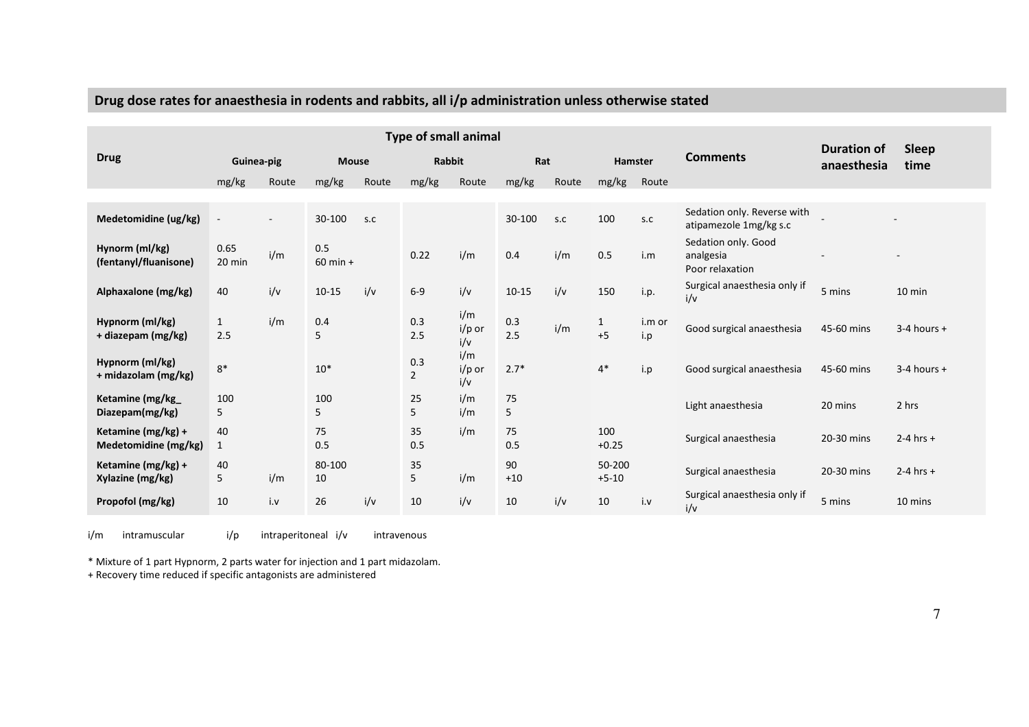|                                              | <b>Type of small animal</b> |                                                 |              |       |                 |                                   |                      |       |                   |        |                                                       |            |                  |
|----------------------------------------------|-----------------------------|-------------------------------------------------|--------------|-------|-----------------|-----------------------------------|----------------------|-------|-------------------|--------|-------------------------------------------------------|------------|------------------|
| <b>Drug</b>                                  | Guinea-pig                  | Rabbit<br>Rat<br><b>Hamster</b><br><b>Mouse</b> |              |       | <b>Comments</b> | <b>Duration of</b><br>anaesthesia | <b>Sleep</b><br>time |       |                   |        |                                                       |            |                  |
|                                              | mg/kg                       | Route                                           | mg/kg        | Route | mg/kg           | Route                             | mg/kg                | Route | mg/kg             | Route  |                                                       |            |                  |
|                                              |                             |                                                 |              |       |                 |                                   |                      |       |                   |        |                                                       |            |                  |
| Medetomidine (ug/kg)                         | $\blacksquare$              |                                                 | 30-100       | S.C   |                 |                                   | 30-100               | S.C   | 100               | s.c    | Sedation only. Reverse with<br>atipamezole 1mg/kg s.c |            |                  |
| Hynorm (ml/kg)                               | 0.65                        |                                                 | 0.5          |       |                 |                                   |                      |       |                   |        | Sedation only. Good                                   |            |                  |
| (fentanyl/fluanisone)                        | $20$ min                    | i/m                                             | $60$ min +   |       | 0.22            | i/m                               | 0.4                  | i/m   | 0.5               | i.m    | analgesia<br>Poor relaxation                          |            |                  |
| Alphaxalone (mg/kg)                          | 40                          | i/v                                             | $10 - 15$    | i/v   | $6-9$           | i/v                               | $10 - 15$            | i/v   | 150               | i.p.   | Surgical anaesthesia only if<br>i/v                   | 5 mins     | $10 \text{ min}$ |
| Hypnorm (ml/kg)                              | $\mathbf{1}$                | i/m                                             | 0.4          |       | 0.3             | i/m<br>i/p or                     | 0.3                  | i/m   | $\mathbf{1}$      | i.m or | Good surgical anaesthesia                             | 45-60 mins | $3-4$ hours +    |
| + diazepam (mg/kg)                           | 2.5                         |                                                 | 5            |       | 2.5             | i/v                               | 2.5                  |       | $+5$              | i.p    |                                                       |            |                  |
| Hypnorm (ml/kg)<br>+ midazolam (mg/kg)       | $8*$                        |                                                 | $10*$        |       | 0.3<br>2        | i/m<br>i/p or<br>i/v              | $2.7*$               |       | $4*$              | i.p    | Good surgical anaesthesia                             | 45-60 mins | $3-4$ hours +    |
| Ketamine (mg/kg<br>Diazepam(mg/kg)           | 100<br>5                    |                                                 | 100<br>5     |       | 25<br>5         | i/m<br>i/m                        | 75<br>5              |       |                   |        | Light anaesthesia                                     | 20 mins    | 2 hrs            |
| Ketamine $(mg/kg) +$<br>Medetomidine (mg/kg) | 40<br>1                     |                                                 | 75<br>0.5    |       | 35<br>0.5       | i/m                               | 75<br>0.5            |       | 100<br>$+0.25$    |        | Surgical anaesthesia                                  | 20-30 mins | $2-4$ hrs +      |
|                                              |                             |                                                 |              |       |                 |                                   |                      |       |                   |        |                                                       |            |                  |
| Ketamine $(mg/kg) +$<br>Xylazine (mg/kg)     | 40<br>5                     | i/m                                             | 80-100<br>10 |       | 35<br>5         | i/m                               | 90<br>$+10$          |       | 50-200<br>$+5-10$ |        | Surgical anaesthesia                                  | 20-30 mins | $2-4$ hrs +      |
| Propofol (mg/kg)                             | 10                          | i.v                                             | 26           | i/v   | 10              | i/v                               | 10                   | i/v   | 10                | i.v    | Surgical anaesthesia only if<br>i/v                   | 5 mins     | 10 mins          |

# Drug dose rates for anaesthesia in rodents and rabbits, all i/p administration unless otherwise stated

i/m intramuscular i/p intraperitoneal i/v intravenous

\* Mixture of 1 part Hypnorm, 2 parts water for injection and 1 part midazolam.

+ Recovery time reduced if specific antagonists are administered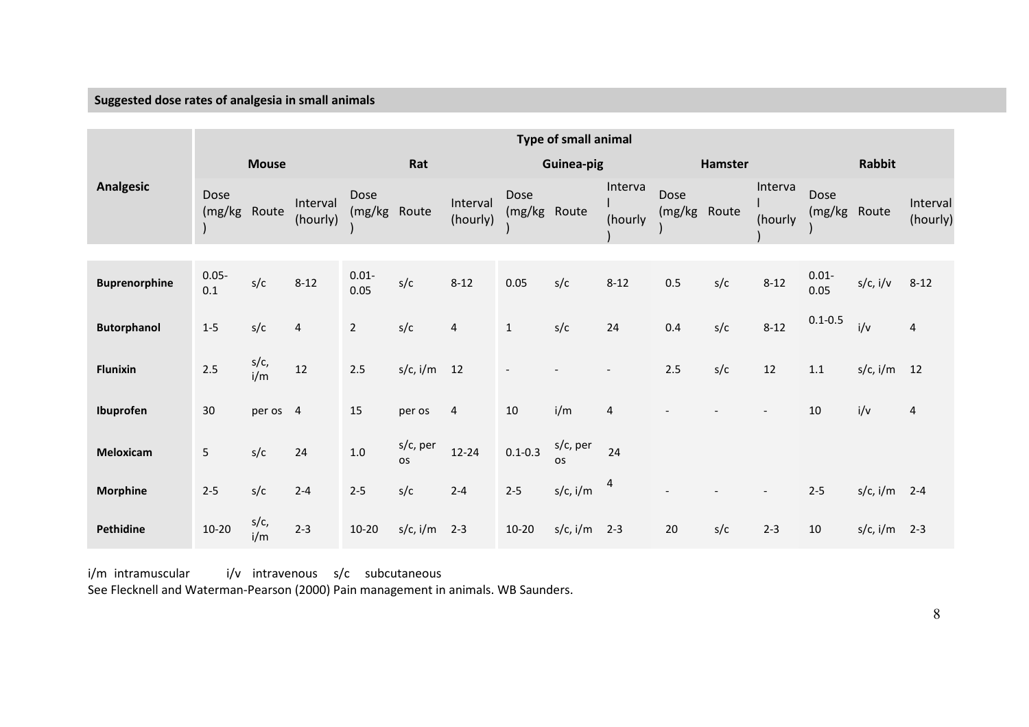# Suggested dose rates of analgesia in small animals

|                      | <b>Type of small animal</b> |                |                      |                  |                       |                      |                |                       |                    |                |       |                    |                  |                 |                      |  |
|----------------------|-----------------------------|----------------|----------------------|------------------|-----------------------|----------------------|----------------|-----------------------|--------------------|----------------|-------|--------------------|------------------|-----------------|----------------------|--|
| Analgesic            | <b>Mouse</b>                |                |                      | Rat              |                       |                      | Guinea-pig     |                       |                    | Hamster        |       |                    |                  | <b>Rabbit</b>   |                      |  |
|                      | Dose<br>(mg/kg Route        |                | Interval<br>(hourly) | Dose<br>(mg/kg   | Route                 | Interval<br>(hourly) | Dose<br>(mg/kg | Route                 | Interva<br>(hourly | Dose<br>(mg/kg | Route | Interva<br>(hourly | Dose<br>(mg/kg   | Route           | Interval<br>(hourly) |  |
|                      |                             |                |                      |                  |                       |                      |                |                       |                    |                |       |                    |                  |                 |                      |  |
| <b>Buprenorphine</b> | $0.05 -$<br>0.1             | s/c            | $8 - 12$             | $0.01 -$<br>0.05 | s/c                   | $8 - 12$             | 0.05           | s/c                   | $8 - 12$           | 0.5            | s/c   | $8 - 12$           | $0.01 -$<br>0.05 | $s/c$ , i/v     | $8 - 12$             |  |
| <b>Butorphanol</b>   | $1-5$                       | s/c            | 4                    | $\overline{2}$   | s/c                   | 4                    | $\mathbf{1}$   | s/c                   | 24                 | 0.4            | s/c   | $8 - 12$           | $0.1 - 0.5$      | i/v             | 4                    |  |
| <b>Flunixin</b>      | 2.5                         | s/c,<br>i/m    | $12\,$               | 2.5              | $s/c$ , i/m           | 12                   |                |                       |                    | 2.5            | s/c   | 12                 | $1.1\,$          | $s/c$ , i/m     | 12                   |  |
| Ibuprofen            | 30                          | per os 4       |                      | 15               | per os                | 4                    | 10             | i/m                   | 4                  |                |       |                    | 10               | i/v             | 4                    |  |
| Meloxicam            | 5                           | s/c            | 24                   | $1.0\,$          | s/c, per<br><b>OS</b> | 12-24                | $0.1 - 0.3$    | s/c, per<br><b>OS</b> | 24                 |                |       |                    |                  |                 |                      |  |
| <b>Morphine</b>      | $2 - 5$                     | s/c            | $2 - 4$              | $2 - 5$          | s/c                   | $2 - 4$              | $2 - 5$        | $s/c$ , i/m           | 4                  |                |       |                    | $2 - 5$          | $s/c$ , i/m     | $2 - 4$              |  |
| Pethidine            | $10 - 20$                   | $s/c$ ,<br>i/m | $2 - 3$              | $10 - 20$        | $s/c$ , i/m           | $2 - 3$              | $10 - 20$      | $s/c$ , i/m           | $2 - 3$            | 20             | s/c   | $2 - 3$            | 10               | $s/c$ , i/m 2-3 |                      |  |

i/m intramuscular i/v intravenous s/c subcutaneous

See Flecknell and Waterman-Pearson (2000) Pain management in animals. WB Saunders.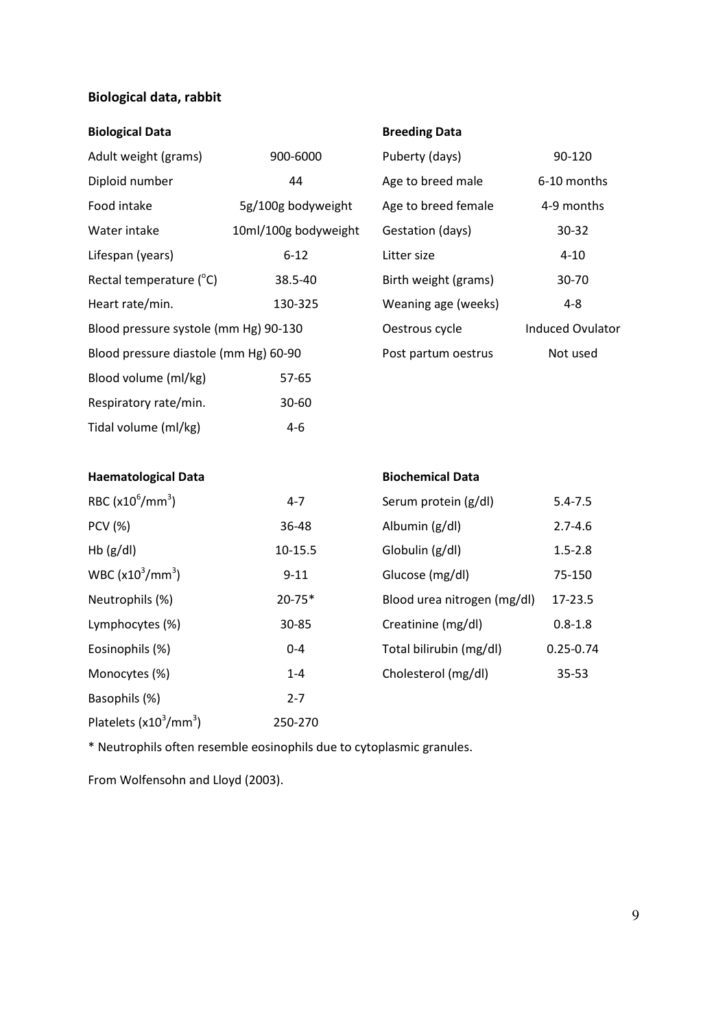# Biological data, rabbit

| <b>Biological Data</b>                |                      | <b>Breeding Data</b> |                         |  |  |
|---------------------------------------|----------------------|----------------------|-------------------------|--|--|
| Adult weight (grams)                  | 900-6000             | Puberty (days)       | 90-120                  |  |  |
| Diploid number                        | 44                   | Age to breed male    | 6-10 months             |  |  |
| Food intake                           | 5g/100g bodyweight   | Age to breed female  | 4-9 months              |  |  |
| Water intake                          | 10ml/100g bodyweight | Gestation (days)     | $30 - 32$               |  |  |
| Lifespan (years)                      | $6 - 12$             | Litter size          | $4 - 10$                |  |  |
| Rectal temperature (°C)               | 38.5-40              | Birth weight (grams) | 30-70                   |  |  |
| Heart rate/min.                       | 130-325              | Weaning age (weeks)  | 4-8                     |  |  |
| Blood pressure systole (mm Hg) 90-130 |                      | Oestrous cycle       | <b>Induced Ovulator</b> |  |  |
| Blood pressure diastole (mm Hg) 60-90 |                      | Post partum oestrus  | Not used                |  |  |
| Blood volume (ml/kg)                  | 57-65                |                      |                         |  |  |
| Respiratory rate/min.                 | 30-60                |                      |                         |  |  |
| Tidal volume (ml/kg)                  | 4-6                  |                      |                         |  |  |
|                                       |                      |                      |                         |  |  |

# Haematological Data **Biochemical Data** Biochemical Data

| RBC ( $x10^6$ /mm <sup>3</sup> )       | $4 - 7$    | Serum protein (g/dl)        | $5.4 - 7.5$   |
|----------------------------------------|------------|-----------------------------|---------------|
| <b>PCV (%)</b>                         | 36-48      | Albumin (g/dl)              | $2.7 - 4.6$   |
| $Hb$ (g/dl)                            | 10-15.5    | Globulin (g/dl)             | $1.5 - 2.8$   |
| WBC $(x10^3/mm^3)$                     | $9 - 11$   | Glucose (mg/dl)             | 75-150        |
| Neutrophils (%)                        | $20 - 75*$ | Blood urea nitrogen (mg/dl) | 17-23.5       |
| Lymphocytes (%)                        | 30-85      | Creatinine (mg/dl)          | $0.8 - 1.8$   |
| Eosinophils (%)                        | $0 - 4$    | Total bilirubin (mg/dl)     | $0.25 - 0.74$ |
| Monocytes (%)                          | $1 - 4$    | Cholesterol (mg/dl)         | $35 - 53$     |
| Basophils (%)                          | $2 - 7$    |                             |               |
| Platelets ( $x10^3$ /mm <sup>3</sup> ) | 250-270    |                             |               |

\* Neutrophils often resemble eosinophils due to cytoplasmic granules.

From Wolfensohn and Lloyd (2003).